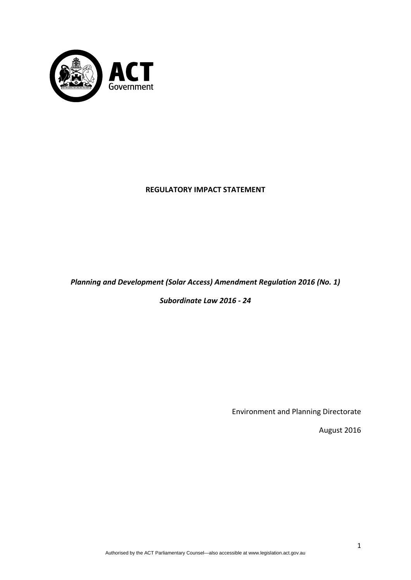

# **REGULATORY IMPACT STATEMENT**

# *Planning and Development (Solar Access) Amendment Regulation 2016 (No. 1)*

*Subordinate Law 2016 ‐ 24*

Environment and Planning Directorate

August 2016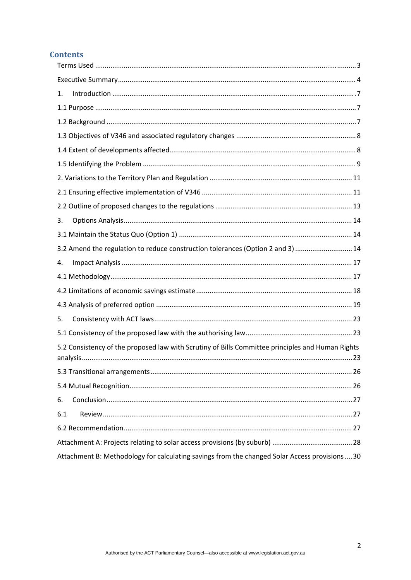# **Contents**

| 1.                                                                                               |
|--------------------------------------------------------------------------------------------------|
|                                                                                                  |
|                                                                                                  |
|                                                                                                  |
|                                                                                                  |
|                                                                                                  |
|                                                                                                  |
|                                                                                                  |
|                                                                                                  |
| 3.                                                                                               |
|                                                                                                  |
| 3.2 Amend the regulation to reduce construction tolerances (Option 2 and 3)  14                  |
| 4.                                                                                               |
|                                                                                                  |
|                                                                                                  |
|                                                                                                  |
| 5.                                                                                               |
|                                                                                                  |
| 5.2 Consistency of the proposed law with Scrutiny of Bills Committee principles and Human Rights |
|                                                                                                  |
|                                                                                                  |
| 6.                                                                                               |
| 6.1                                                                                              |
|                                                                                                  |
|                                                                                                  |
| Attachment B: Methodology for calculating savings from the changed Solar Access provisions  30   |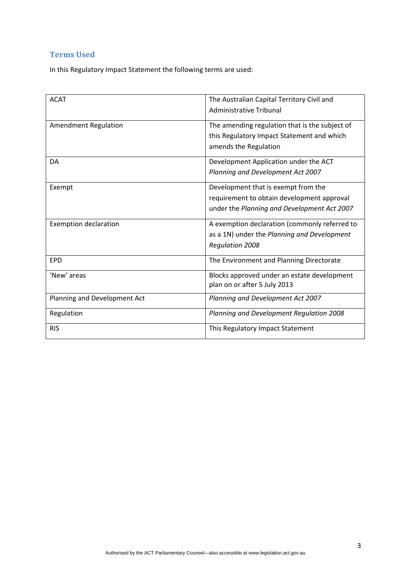# <span id="page-2-0"></span>**Terms Used**

In this Regulatory Impact Statement the following terms are used:

| <b>ACAT</b>                  | The Australian Capital Territory Civil and<br><b>Administrative Tribunal</b>                                                     |
|------------------------------|----------------------------------------------------------------------------------------------------------------------------------|
| <b>Amendment Regulation</b>  | The amending regulation that is the subject of<br>this Regulatory Impact Statement and which<br>amends the Regulation            |
| DA                           | Development Application under the ACT<br>Planning and Development Act 2007                                                       |
| Exempt                       | Development that is exempt from the<br>requirement to obtain development approval<br>under the Planning and Development Act 2007 |
| <b>Exemption declaration</b> | A exemption declaration (commonly referred to<br>as a 1N) under the Planning and Development<br><b>Regulation 2008</b>           |
| EPD                          | The Environment and Planning Directorate                                                                                         |
| 'New' areas                  | Blocks approved under an estate development<br>plan on or after 5 July 2013                                                      |
| Planning and Development Act | Planning and Development Act 2007                                                                                                |
| Regulation                   | Planning and Development Regulation 2008                                                                                         |
| <b>RIS</b>                   | This Regulatory Impact Statement                                                                                                 |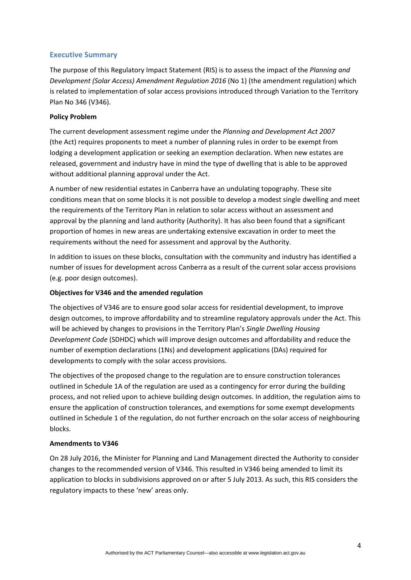## <span id="page-3-0"></span>**Executive Summary**

The purpose of this Regulatory Impact Statement (RIS) is to assess the impact of the *Planning and Development (Solar Access) Amendment Regulation 2016* (No 1) (the amendment regulation) which is related to implementation of solar access provisions introduced through Variation to the Territory Plan No 346 (V346).

### **Policy Problem**

The current development assessment regime under the *Planning and Development Act 2007* (the Act) requires proponents to meet a number of planning rules in order to be exempt from lodging a development application or seeking an exemption declaration. When new estates are released, government and industry have in mind the type of dwelling that is able to be approved without additional planning approval under the Act.

A number of new residential estates in Canberra have an undulating topography. These site conditions mean that on some blocks it is not possible to develop a modest single dwelling and meet the requirements of the Territory Plan in relation to solar access without an assessment and approval by the planning and land authority (Authority). It has also been found that a significant proportion of homes in new areas are undertaking extensive excavation in order to meet the requirements without the need for assessment and approval by the Authority.

In addition to issues on these blocks, consultation with the community and industry has identified a number of issues for development across Canberra as a result of the current solar access provisions (e.g. poor design outcomes).

### **Objectives for V346 and the amended regulation**

The objectives of V346 are to ensure good solar access for residential development, to improve design outcomes, to improve affordability and to streamline regulatory approvals under the Act. This will be achieved by changes to provisions in the Territory Plan's *Single Dwelling Housing Development Code* (SDHDC) which will improve design outcomes and affordability and reduce the number of exemption declarations (1Ns) and development applications (DAs) required for developments to comply with the solar access provisions.

The objectives of the proposed change to the regulation are to ensure construction tolerances outlined in Schedule 1A of the regulation are used as a contingency for error during the building process, and not relied upon to achieve building design outcomes. In addition, the regulation aims to ensure the application of construction tolerances, and exemptions for some exempt developments outlined in Schedule 1 of the regulation, do not further encroach on the solar access of neighbouring blocks.

### **Amendments to V346**

On 28 July 2016, the Minister for Planning and Land Management directed the Authority to consider changes to the recommended version of V346. This resulted in V346 being amended to limit its application to blocks in subdivisions approved on or after 5 July 2013. As such, this RIS considers the regulatory impacts to these 'new' areas only.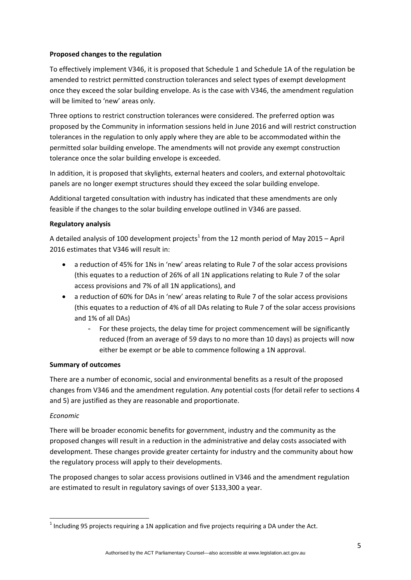### **Proposed changes to the regulation**

To effectively implement V346, it is proposed that Schedule 1 and Schedule 1A of the regulation be amended to restrict permitted construction tolerances and select types of exempt development once they exceed the solar building envelope. As is the case with V346, the amendment regulation will be limited to 'new' areas only.

Three options to restrict construction tolerances were considered. The preferred option was proposed by the Community in information sessions held in June 2016 and will restrict construction tolerances in the regulation to only apply where they are able to be accommodated within the permitted solar building envelope. The amendments will not provide any exempt construction tolerance once the solar building envelope is exceeded.

In addition, it is proposed that skylights, external heaters and coolers, and external photovoltaic panels are no longer exempt structures should they exceed the solar building envelope.

Additional targeted consultation with industry has indicated that these amendments are only feasible if the changes to the solar building envelope outlined in V346 are passed.

### **Regulatory analysis**

A detailed analysis of 100 development projects<sup>1</sup> from the 12 month period of May 2015 – April 2016 estimates that V346 will result in:

- a reduction of 45% for 1Ns in 'new' areas relating to Rule 7 of the solar access provisions (this equates to a reduction of 26% of all 1N applications relating to Rule 7 of the solar access provisions and 7% of all 1N applications), and
- a reduction of 60% for DAs in 'new' areas relating to Rule 7 of the solar access provisions (this equates to a reduction of 4% of all DAs relating to Rule 7 of the solar access provisions and 1% of all DAs)
	- For these projects, the delay time for project commencement will be significantly reduced (from an average of 59 days to no more than 10 days) as projects will now either be exempt or be able to commence following a 1N approval.

## **Summary of outcomes**

There are a number of economic, social and environmental benefits as a result of the proposed changes from V346 and the amendment regulation. Any potential costs (for detail refer to sections 4 and 5) are justified as they are reasonable and proportionate.

### *Economic*

There will be broader economic benefits for government, industry and the community as the proposed changes will result in a reduction in the administrative and delay costs associated with development. These changes provide greater certainty for industry and the community about how the regulatory process will apply to their developments.

The proposed changes to solar access provisions outlined in V346 and the amendment regulation are estimated to result in regulatory savings of over \$133,300 a year.

 $<sup>1</sup>$  Including 95 projects requiring a 1N application and five projects requiring a DA under the Act.</sup>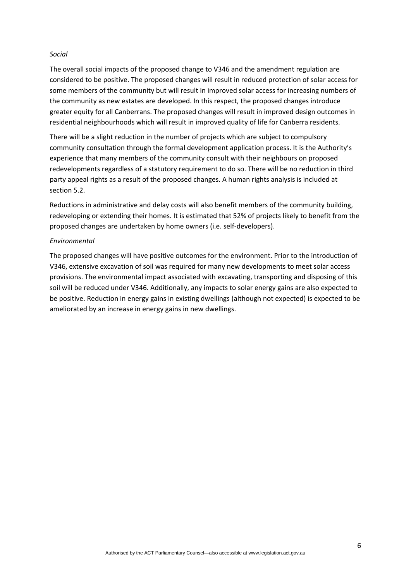#### *Social*

The overall social impacts of the proposed change to V346 and the amendment regulation are considered to be positive. The proposed changes will result in reduced protection of solar access for some members of the community but will result in improved solar access for increasing numbers of the community as new estates are developed. In this respect, the proposed changes introduce greater equity for all Canberrans. The proposed changes will result in improved design outcomes in residential neighbourhoods which will result in improved quality of life for Canberra residents.

There will be a slight reduction in the number of projects which are subject to compulsory community consultation through the formal development application process. It is the Authority's experience that many members of the community consult with their neighbours on proposed redevelopments regardless of a statutory requirement to do so. There will be no reduction in third party appeal rights as a result of the proposed changes. A human rights analysis is included at section 5.2.

Reductions in administrative and delay costs will also benefit members of the community building, redeveloping or extending their homes. It is estimated that 52% of projects likely to benefit from the proposed changes are undertaken by home owners (i.e. self‐developers).

#### *Environmental*

The proposed changes will have positive outcomes for the environment. Prior to the introduction of V346, extensive excavation of soil was required for many new developments to meet solar access provisions. The environmental impact associated with excavating, transporting and disposing of this soil will be reduced under V346. Additionally, any impacts to solar energy gains are also expected to be positive. Reduction in energy gains in existing dwellings (although not expected) is expected to be ameliorated by an increase in energy gains in new dwellings.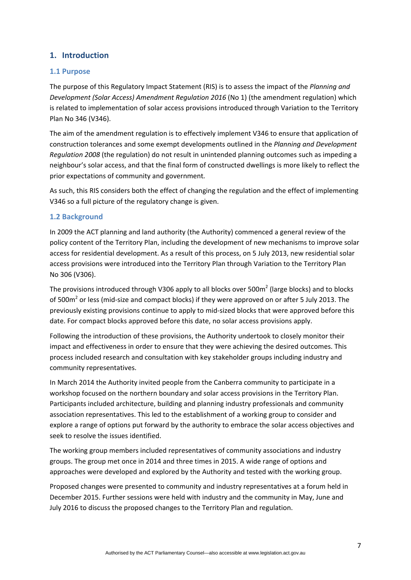# <span id="page-6-0"></span>**1. Introduction**

### <span id="page-6-1"></span>**1.1 Purpose**

The purpose of this Regulatory Impact Statement (RIS) is to assess the impact of the *Planning and Development (Solar Access) Amendment Regulation 2016* (No 1) (the amendment regulation) which is related to implementation of solar access provisions introduced through Variation to the Territory Plan No 346 (V346).

The aim of the amendment regulation is to effectively implement V346 to ensure that application of construction tolerances and some exempt developments outlined in the *Planning and Development Regulation 2008* (the regulation) do not result in unintended planning outcomes such as impeding a neighbour's solar access, and that the final form of constructed dwellings is more likely to reflect the prior expectations of community and government*.*

As such, this RIS considers both the effect of changing the regulation and the effect of implementing V346 so a full picture of the regulatory change is given.

### <span id="page-6-2"></span>**1.2 Background**

In 2009 the ACT planning and land authority (the Authority) commenced a general review of the policy content of the Territory Plan, including the development of new mechanisms to improve solar access for residential development. As a result of this process, on 5 July 2013, new residential solar access provisions were introduced into the Territory Plan through Variation to the Territory Plan No 306 (V306).

The provisions introduced through V306 apply to all blocks over 500 $m<sup>2</sup>$  (large blocks) and to blocks of 500 $\text{m}^2$  or less (mid-size and compact blocks) if they were approved on or after 5 July 2013. The previously existing provisions continue to apply to mid‐sized blocks that were approved before this date. For compact blocks approved before this date, no solar access provisions apply.

Following the introduction of these provisions, the Authority undertook to closely monitor their impact and effectiveness in order to ensure that they were achieving the desired outcomes. This process included research and consultation with key stakeholder groups including industry and community representatives.

In March 2014 the Authority invited people from the Canberra community to participate in a workshop focused on the northern boundary and solar access provisions in the Territory Plan. Participants included architecture, building and planning industry professionals and community association representatives. This led to the establishment of a working group to consider and explore a range of options put forward by the authority to embrace the solar access objectives and seek to resolve the issues identified.

The working group members included representatives of community associations and industry groups. The group met once in 2014 and three times in 2015. A wide range of options and approaches were developed and explored by the Authority and tested with the working group.

Proposed changes were presented to community and industry representatives at a forum held in December 2015. Further sessions were held with industry and the community in May, June and July 2016 to discuss the proposed changes to the Territory Plan and regulation.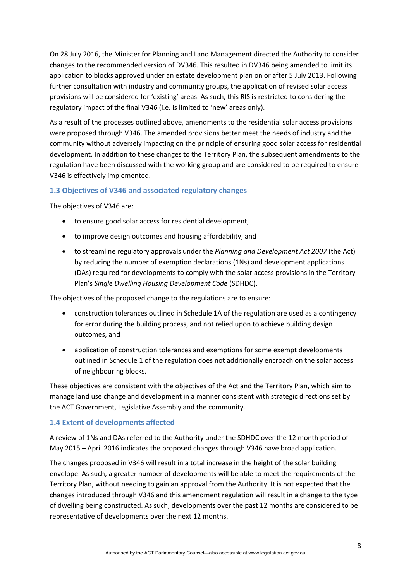On 28 July 2016, the Minister for Planning and Land Management directed the Authority to consider changes to the recommended version of DV346. This resulted in DV346 being amended to limit its application to blocks approved under an estate development plan on or after 5 July 2013. Following further consultation with industry and community groups, the application of revised solar access provisions will be considered for 'existing' areas. As such, this RIS is restricted to considering the regulatory impact of the final V346 (i.e. is limited to 'new' areas only).

As a result of the processes outlined above, amendments to the residential solar access provisions were proposed through V346. The amended provisions better meet the needs of industry and the community without adversely impacting on the principle of ensuring good solar access for residential development. In addition to these changes to the Territory Plan, the subsequent amendments to the regulation have been discussed with the working group and are considered to be required to ensure V346 is effectively implemented.

# <span id="page-7-0"></span>**1.3 Objectives of V346 and associated regulatory changes**

The objectives of V346 are:

- to ensure good solar access for residential development,
- to improve design outcomes and housing affordability, and
- to streamline regulatory approvals under the *Planning and Development Act 2007* (the Act) by reducing the number of exemption declarations (1Ns) and development applications (DAs) required for developments to comply with the solar access provisions in the Territory Plan's *Single Dwelling Housing Development Code* (SDHDC).

The objectives of the proposed change to the regulations are to ensure:

- construction tolerances outlined in Schedule 1A of the regulation are used as a contingency for error during the building process, and not relied upon to achieve building design outcomes, and
- application of construction tolerances and exemptions for some exempt developments outlined in Schedule 1 of the regulation does not additionally encroach on the solar access of neighbouring blocks.

These objectives are consistent with the objectives of the Act and the Territory Plan, which aim to manage land use change and development in a manner consistent with strategic directions set by the ACT Government, Legislative Assembly and the community.

## <span id="page-7-1"></span>**1.4 Extent of developments affected**

A review of 1Ns and DAs referred to the Authority under the SDHDC over the 12 month period of May 2015 – April 2016 indicates the proposed changes through V346 have broad application.

The changes proposed in V346 will result in a total increase in the height of the solar building envelope. As such, a greater number of developments will be able to meet the requirements of the Territory Plan, without needing to gain an approval from the Authority. It is not expected that the changes introduced through V346 and this amendment regulation will result in a change to the type of dwelling being constructed. As such, developments over the past 12 months are considered to be representative of developments over the next 12 months.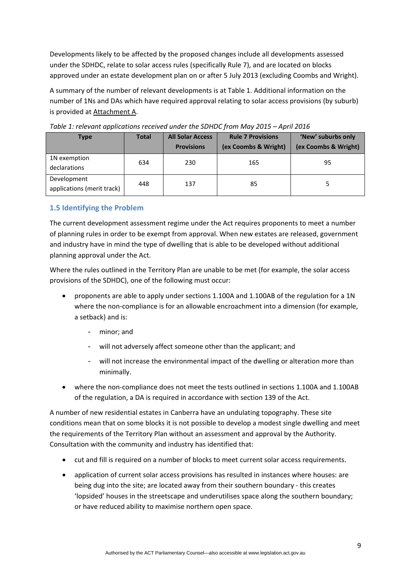Developments likely to be affected by the proposed changes include all developments assessed under the SDHDC, relate to solar access rules (specifically Rule 7), and are located on blocks approved under an estate development plan on or after 5 July 2013 (excluding Coombs and Wright).

A summary of the number of relevant developments is at Table 1. Additional information on the number of 1Ns and DAs which have required approval relating to solar access provisions (by suburb) is provided at Attachment A.

| <b>Type</b>                               | <b>Total</b> | <b>All Solar Access</b><br><b>Provisions</b> | <b>Rule 7 Provisions</b><br>(ex Coombs & Wright) | 'New' suburbs only<br>(ex Coombs & Wright) |
|-------------------------------------------|--------------|----------------------------------------------|--------------------------------------------------|--------------------------------------------|
| 1N exemption<br>declarations              | 634          | 230                                          | 165                                              | 95                                         |
| Development<br>applications (merit track) | 448          | 137                                          | 85                                               |                                            |

*Table 1: relevant applications received under the SDHDC from May 2015 – April 2016*

# <span id="page-8-0"></span>**1.5 Identifying the Problem**

The current development assessment regime under the Act requires proponents to meet a number of planning rules in order to be exempt from approval. When new estates are released, government and industry have in mind the type of dwelling that is able to be developed without additional planning approval under the Act.

Where the rules outlined in the Territory Plan are unable to be met (for example, the solar access provisions of the SDHDC), one of the following must occur:

- proponents are able to apply under sections 1.100A and 1.100AB of the regulation for a 1N where the non-compliance is for an allowable encroachment into a dimension (for example, a setback) and is:
	- minor; and
	- will not adversely affect someone other than the applicant; and
	- will not increase the environmental impact of the dwelling or alteration more than minimally.
- where the non-compliance does not meet the tests outlined in sections 1.100A and 1.100AB of the regulation, a DA is required in accordance with section 139 of the Act.

A number of new residential estates in Canberra have an undulating topography. These site conditions mean that on some blocks it is not possible to develop a modest single dwelling and meet the requirements of the Territory Plan without an assessment and approval by the Authority. Consultation with the community and industry has identified that:

- cut and fill is required on a number of blocks to meet current solar access requirements.
- application of current solar access provisions has resulted in instances where houses: are being dug into the site; are located away from their southern boundary ‐ this creates 'lopsided' houses in the streetscape and underutilises space along the southern boundary; or have reduced ability to maximise northern open space.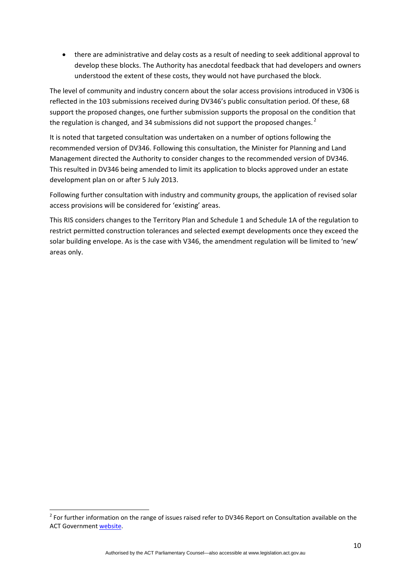there are administrative and delay costs as a result of needing to seek additional approval to develop these blocks. The Authority has anecdotal feedback that had developers and owners understood the extent of these costs, they would not have purchased the block.

The level of community and industry concern about the solar access provisions introduced in V306 is reflected in the 103 submissions received during DV346's public consultation period. Of these, 68 support the proposed changes, one further submission supports the proposal on the condition that the regulation is changed, and 34 submissions did not support the proposed changes. $<sup>2</sup>$ </sup>

It is noted that targeted consultation was undertaken on a number of options following the recommended version of DV346. Following this consultation, the Minister for Planning and Land Management directed the Authority to consider changes to the recommended version of DV346. This resulted in DV346 being amended to limit its application to blocks approved under an estate development plan on or after 5 July 2013.

Following further consultation with industry and community groups, the application of revised solar access provisions will be considered for 'existing' areas.

This RIS considers changes to the Territory Plan and Schedule 1 and Schedule 1A of the regulation to restrict permitted construction tolerances and selected exempt developments once they exceed the solar building envelope. As is the case with V346, the amendment regulation will be limited to 'new' areas only.

 $2$  For further information on the range of issues raised refer to DV346 Report on Consultation available on the ACT Government website.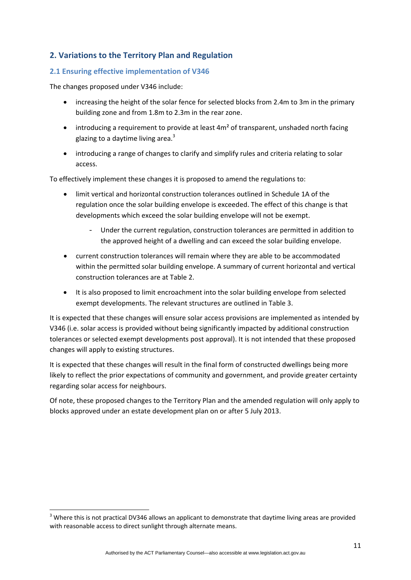# <span id="page-10-0"></span>**2. Variations to the Territory Plan and Regulation**

## <span id="page-10-1"></span>**2.1 Ensuring effective implementation of V346**

The changes proposed under V346 include:

- increasing the height of the solar fence for selected blocks from 2.4m to 3m in the primary building zone and from 1.8m to 2.3m in the rear zone.
- $\bullet$  introducing a requirement to provide at least  $4m^2$  of transparent, unshaded north facing glazing to a daytime living area. $3$
- introducing a range of changes to clarify and simplify rules and criteria relating to solar access.

To effectively implement these changes it is proposed to amend the regulations to:

- limit vertical and horizontal construction tolerances outlined in Schedule 1A of the regulation once the solar building envelope is exceeded. The effect of this change is that developments which exceed the solar building envelope will not be exempt.
	- Under the current regulation, construction tolerances are permitted in addition to the approved height of a dwelling and can exceed the solar building envelope.
- current construction tolerances will remain where they are able to be accommodated within the permitted solar building envelope. A summary of current horizontal and vertical construction tolerances are at Table 2.
- It is also proposed to limit encroachment into the solar building envelope from selected exempt developments. The relevant structures are outlined in Table 3.

It is expected that these changes will ensure solar access provisions are implemented as intended by V346 (i.e. solar access is provided without being significantly impacted by additional construction tolerances or selected exempt developments post approval). It is not intended that these proposed changes will apply to existing structures.

It is expected that these changes will result in the final form of constructed dwellings being more likely to reflect the prior expectations of community and government, and provide greater certainty regarding solar access for neighbours.

Of note, these proposed changes to the Territory Plan and the amended regulation will only apply to blocks approved under an estate development plan on or after 5 July 2013.

 $3$  Where this is not practical DV346 allows an applicant to demonstrate that daytime living areas are provided with reasonable access to direct sunlight through alternate means.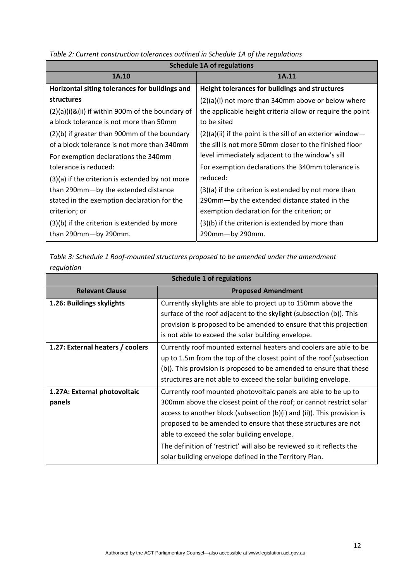| <b>Schedule 1A of regulations</b>                |                                                              |  |  |
|--------------------------------------------------|--------------------------------------------------------------|--|--|
| 1A.10                                            | 1A.11                                                        |  |  |
| Horizontal siting tolerances for buildings and   | Height tolerances for buildings and structures               |  |  |
| <b>structures</b>                                | $(2)(a)(i)$ not more than 340mm above or below where         |  |  |
| (2)(a)(i)&(ii) if within 900m of the boundary of | the applicable height criteria allow or require the point    |  |  |
| a block tolerance is not more than 50mm          | to be sited                                                  |  |  |
| (2)(b) if greater than 900mm of the boundary     | $(2)(a)(ii)$ if the point is the sill of an exterior window- |  |  |
| of a block tolerance is not more than 340mm      | the sill is not more 50mm closer to the finished floor       |  |  |
| For exemption declarations the 340mm             | level immediately adjacent to the window's sill              |  |  |
| tolerance is reduced:                            | For exemption declarations the 340mm tolerance is            |  |  |
| (3)(a) if the criterion is extended by not more  | reduced:                                                     |  |  |
| than 290mm-by the extended distance              | $(3)(a)$ if the criterion is extended by not more than       |  |  |
| stated in the exemption declaration for the      | 290mm-by the extended distance stated in the                 |  |  |
| criterion; or                                    | exemption declaration for the criterion; or                  |  |  |
| (3)(b) if the criterion is extended by more      | (3)(b) if the criterion is extended by more than             |  |  |
| than 290mm-by 290mm.                             | $290$ mm $-$ by 290mm.                                       |  |  |

*Table 2: Current construction tolerances outlined in Schedule 1A of the regulations*

*Table 3: Schedule 1 Roof‐mounted structures proposed to be amended under the amendment regulation*

| <b>Schedule 1 of regulations</b> |                                                                              |  |  |
|----------------------------------|------------------------------------------------------------------------------|--|--|
| <b>Relevant Clause</b>           | <b>Proposed Amendment</b>                                                    |  |  |
| 1.26: Buildings skylights        | Currently skylights are able to project up to 150mm above the                |  |  |
|                                  | surface of the roof adjacent to the skylight (subsection (b)). This          |  |  |
|                                  | provision is proposed to be amended to ensure that this projection           |  |  |
|                                  | is not able to exceed the solar building envelope.                           |  |  |
| 1.27: External heaters / coolers | Currently roof mounted external heaters and coolers are able to be           |  |  |
|                                  | up to 1.5m from the top of the closest point of the roof (subsection         |  |  |
|                                  | (b)). This provision is proposed to be amended to ensure that these          |  |  |
|                                  | structures are not able to exceed the solar building envelope.               |  |  |
| 1.27A: External photovoltaic     | Currently roof mounted photovoltaic panels are able to be up to              |  |  |
| panels                           | 300mm above the closest point of the roof; or cannot restrict solar          |  |  |
|                                  | access to another block (subsection $(b)(i)$ and $(ii)$ ). This provision is |  |  |
|                                  | proposed to be amended to ensure that these structures are not               |  |  |
|                                  | able to exceed the solar building envelope.                                  |  |  |
|                                  | The definition of 'restrict' will also be reviewed so it reflects the        |  |  |
|                                  | solar building envelope defined in the Territory Plan.                       |  |  |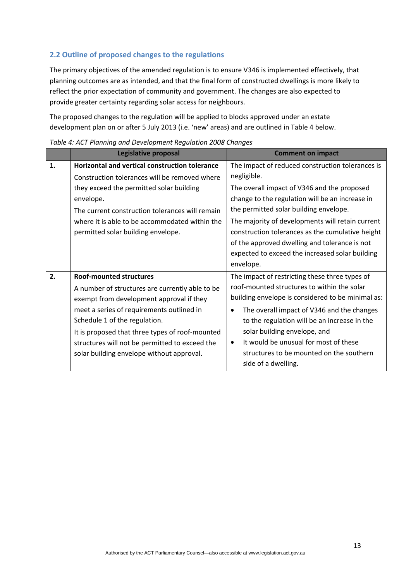# <span id="page-12-0"></span>**2.2 Outline of proposed changes to the regulations**

The primary objectives of the amended regulation is to ensure V346 is implemented effectively, that planning outcomes are as intended, and that the final form of constructed dwellings is more likely to reflect the prior expectation of community and government. The changes are also expected to provide greater certainty regarding solar access for neighbours.

The proposed changes to the regulation will be applied to blocks approved under an estate development plan on or after 5 July 2013 (i.e. 'new' areas) and are outlined in Table 4 below.

|    | Legislative proposal                                                                                                                                                                                                                                                                                                                                          | <b>Comment on impact</b>                                                                                                                                                                                                                                                                                                                                                                                                             |
|----|---------------------------------------------------------------------------------------------------------------------------------------------------------------------------------------------------------------------------------------------------------------------------------------------------------------------------------------------------------------|--------------------------------------------------------------------------------------------------------------------------------------------------------------------------------------------------------------------------------------------------------------------------------------------------------------------------------------------------------------------------------------------------------------------------------------|
| 1. | <b>Horizontal and vertical construction tolerance</b><br>Construction tolerances will be removed where<br>they exceed the permitted solar building<br>envelope.<br>The current construction tolerances will remain<br>where it is able to be accommodated within the<br>permitted solar building envelope.                                                    | The impact of reduced construction tolerances is<br>negligible.<br>The overall impact of V346 and the proposed<br>change to the regulation will be an increase in<br>the permitted solar building envelope.<br>The majority of developments will retain current<br>construction tolerances as the cumulative height<br>of the approved dwelling and tolerance is not<br>expected to exceed the increased solar building<br>envelope. |
| 2. | <b>Roof-mounted structures</b><br>A number of structures are currently able to be<br>exempt from development approval if they<br>meet a series of requirements outlined in<br>Schedule 1 of the regulation.<br>It is proposed that three types of roof-mounted<br>structures will not be permitted to exceed the<br>solar building envelope without approval. | The impact of restricting these three types of<br>roof-mounted structures to within the solar<br>building envelope is considered to be minimal as:<br>The overall impact of V346 and the changes<br>to the regulation will be an increase in the<br>solar building envelope, and<br>It would be unusual for most of these<br>$\bullet$<br>structures to be mounted on the southern<br>side of a dwelling.                            |

*Table 4: ACT Planning and Development Regulation 2008 Changes*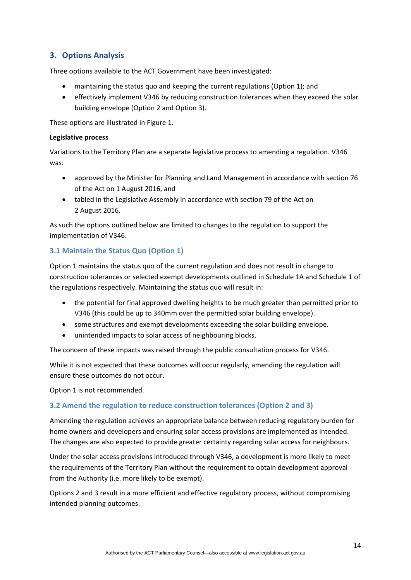# <span id="page-13-0"></span>**3. Options Analysis**

Three options available to the ACT Government have been investigated:

- maintaining the status quo and keeping the current regulations (Option 1); and
- effectively implement V346 by reducing construction tolerances when they exceed the solar building envelope (Option 2 and Option 3).

These options are illustrated in Figure 1.

### **Legislative process**

Variations to the Territory Plan are a separate legislative process to amending a regulation. V346 was:

- approved by the Minister for Planning and Land Management in accordance with section 76 of the Act on 1 August 2016, and
- tabled in the Legislative Assembly in accordance with section 79 of the Act on 2 August 2016.

As such the options outlined below are limited to changes to the regulation to support the implementation of V346.

# <span id="page-13-1"></span>**3.1 Maintain the Status Quo (Option 1)**

Option 1 maintains the status quo of the current regulation and does not result in change to construction tolerances or selected exempt developments outlined in Schedule 1A and Schedule 1 of the regulations respectively. Maintaining the status quo will result in:

- the potential for final approved dwelling heights to be much greater than permitted prior to V346 (this could be up to 340mm over the permitted solar building envelope).
- some structures and exempt developments exceeding the solar building envelope.
- unintended impacts to solar access of neighbouring blocks.

The concern of these impacts was raised through the public consultation process for V346.

While it is not expected that these outcomes will occur regularly, amending the regulation will ensure these outcomes do not occur.

Option 1 is not recommended.

## <span id="page-13-2"></span>**3.2 Amend the regulation to reduce construction tolerances (Option 2 and 3)**

Amending the regulation achieves an appropriate balance between reducing regulatory burden for home owners and developers and ensuring solar access provisions are implemented as intended. The changes are also expected to provide greater certainty regarding solar access for neighbours.

Under the solar access provisions introduced through V346, a development is more likely to meet the requirements of the Territory Plan without the requirement to obtain development approval from the Authority (i.e. more likely to be exempt).

Options 2 and 3 result in a more efficient and effective regulatory process, without compromising intended planning outcomes.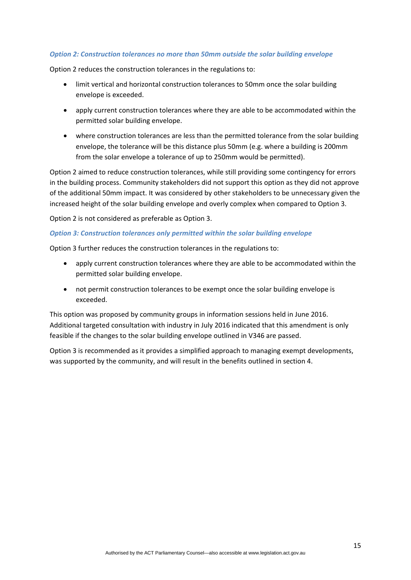### *Option 2: Construction tolerances no more than 50mm outside the solar building envelope*

Option 2 reduces the construction tolerances in the regulations to:

- limit vertical and horizontal construction tolerances to 50mm once the solar building envelope is exceeded.
- apply current construction tolerances where they are able to be accommodated within the permitted solar building envelope.
- where construction tolerances are less than the permitted tolerance from the solar building envelope, the tolerance will be this distance plus 50mm (e.g. where a building is 200mm from the solar envelope a tolerance of up to 250mm would be permitted).

Option 2 aimed to reduce construction tolerances, while still providing some contingency for errors in the building process. Community stakeholders did not support this option as they did not approve of the additional 50mm impact. It was considered by other stakeholders to be unnecessary given the increased height of the solar building envelope and overly complex when compared to Option 3.

Option 2 is not considered as preferable as Option 3.

#### *Option 3: Construction tolerances only permitted within the solar building envelope*

Option 3 further reduces the construction tolerances in the regulations to:

- apply current construction tolerances where they are able to be accommodated within the permitted solar building envelope.
- not permit construction tolerances to be exempt once the solar building envelope is exceeded.

This option was proposed by community groups in information sessions held in June 2016. Additional targeted consultation with industry in July 2016 indicated that this amendment is only feasible if the changes to the solar building envelope outlined in V346 are passed.

Option 3 is recommended as it provides a simplified approach to managing exempt developments, was supported by the community, and will result in the benefits outlined in section 4.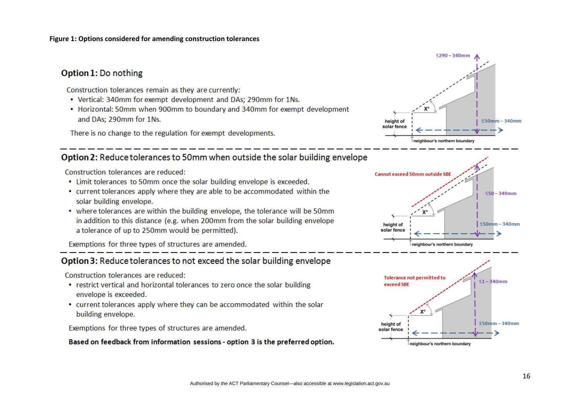#### **Figure 1: Options considered for amending construction tolerances**

# Option 1: Do nothing

Construction tolerances remain as they are currently:

- Vertical: 340mm for exempt development and DAs: 290mm for 1Ns.
- Horizontal: 50mm when 900mm to boundary and 340mm for exempt development and DAs: 290mm for 1Ns.

There is no change to the regulation for exempt developments.

# Option 2: Reduce tolerances to 50mm when outside the solar building envelope

Construction tolerances are reduced:

- Limit tolerances to 50mm once the solar building envelope is exceeded.
- current tolerances apply where they are able to be accommodated within the solar building envelope.
- where tolerances are within the building envelope, the tolerance will be 50mm in addition to this distance (e.g. when 200mm from the solar building envelope a tolerance of up to 250mm would be permitted).

Exemptions for three types of structures are amended.

# Option 3: Reduce tolerances to not exceed the solar building envelope

Construction tolerances are reduced:

- restrict vertical and horizontal tolerances to zero once the solar building envelope is exceeded.
- current tolerances apply where they can be accommodated within the solar building envelope.

Exemptions for three types of structures are amended.

### Based on feedback from information sessions - option 3 is the preferred option.





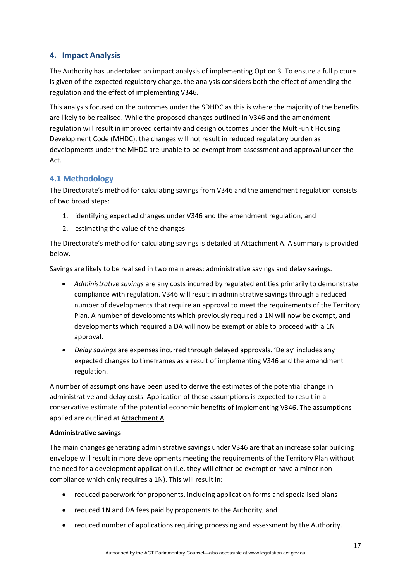# <span id="page-16-0"></span>**4. Impact Analysis**

The Authority has undertaken an impact analysis of implementing Option 3. To ensure a full picture is given of the expected regulatory change, the analysis considers both the effect of amending the regulation and the effect of implementing V346.

This analysis focused on the outcomes under the SDHDC as this is where the majority of the benefits are likely to be realised. While the proposed changes outlined in V346 and the amendment regulation will result in improved certainty and design outcomes under the Multi-unit Housing Development Code (MHDC), the changes will not result in reduced regulatory burden as developments under the MHDC are unable to be exempt from assessment and approval under the Act.

# <span id="page-16-1"></span>**4.1 Methodology**

The Directorate's method for calculating savings from V346 and the amendment regulation consists of two broad steps:

- 1. identifying expected changes under V346 and the amendment regulation, and
- 2. estimating the value of the changes.

The Directorate's method for calculating savings is detailed at Attachment A. A summary is provided below.

Savings are likely to be realised in two main areas: administrative savings and delay savings.

- *Administrative savings* are any costs incurred by regulated entities primarily to demonstrate compliance with regulation. V346 will result in administrative savings through a reduced number of developments that require an approval to meet the requirements of the Territory Plan. A number of developments which previously required a 1N will now be exempt, and developments which required a DA will now be exempt or able to proceed with a 1N approval.
- *Delay savings* are expenses incurred through delayed approvals. 'Delay' includes any expected changes to timeframes as a result of implementing V346 and the amendment regulation.

A number of assumptions have been used to derive the estimates of the potential change in administrative and delay costs. Application of these assumptions is expected to result in a conservative estimate of the potential economic benefits of implementing V346. The assumptions applied are outlined at Attachment A.

## **Administrative savings**

The main changes generating administrative savings under V346 are that an increase solar building envelope will result in more developments meeting the requirements of the Territory Plan without the need for a development application (i.e. they will either be exempt or have a minor non‐ compliance which only requires a 1N). This will result in:

- reduced paperwork for proponents, including application forms and specialised plans
- reduced 1N and DA fees paid by proponents to the Authority, and
- reduced number of applications requiring processing and assessment by the Authority.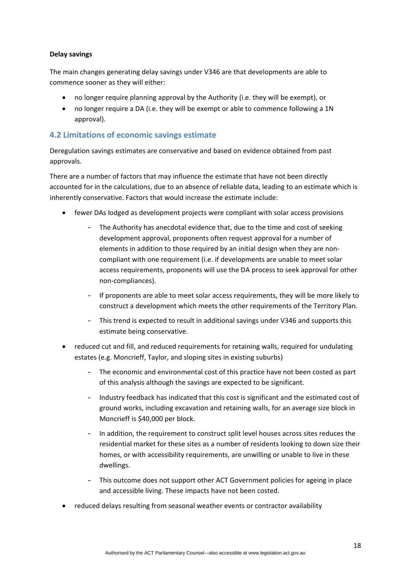### **Delay savings**

The main changes generating delay savings under V346 are that developments are able to commence sooner as they will either:

- no longer require planning approval by the Authority (i.e. they will be exempt), or
- no longer require a DA (i.e. they will be exempt or able to commence following a 1N approval).

# <span id="page-17-0"></span>**4.2 Limitations of economic savings estimate**

Deregulation savings estimates are conservative and based on evidence obtained from past approvals.

There are a number of factors that may influence the estimate that have not been directly accounted for in the calculations, due to an absence of reliable data, leading to an estimate which is inherently conservative. Factors that would increase the estimate include:

- fewer DAs lodged as development projects were compliant with solar access provisions
	- The Authority has anecdotal evidence that, due to the time and cost of seeking development approval, proponents often request approval for a number of elements in addition to those required by an initial design when they are non‐ compliant with one requirement (i.e. if developments are unable to meet solar access requirements, proponents will use the DA process to seek approval for other non‐compliances).
	- If proponents are able to meet solar access requirements, they will be more likely to construct a development which meets the other requirements of the Territory Plan.
	- This trend is expected to result in additional savings under V346 and supports this estimate being conservative.
- reduced cut and fill, and reduced requirements for retaining walls, required for undulating estates (e.g. Moncrieff, Taylor, and sloping sites in existing suburbs)
	- The economic and environmental cost of this practice have not been costed as part of this analysis although the savings are expected to be significant.
	- Industry feedback has indicated that this cost is significant and the estimated cost of ground works, including excavation and retaining walls, for an average size block in Moncrieff is \$40,000 per block.
	- In addition, the requirement to construct split level houses across sites reduces the residential market for these sites as a number of residents looking to down size their homes, or with accessibility requirements, are unwilling or unable to live in these dwellings.
	- This outcome does not support other ACT Government policies for ageing in place and accessible living. These impacts have not been costed.
- reduced delays resulting from seasonal weather events or contractor availability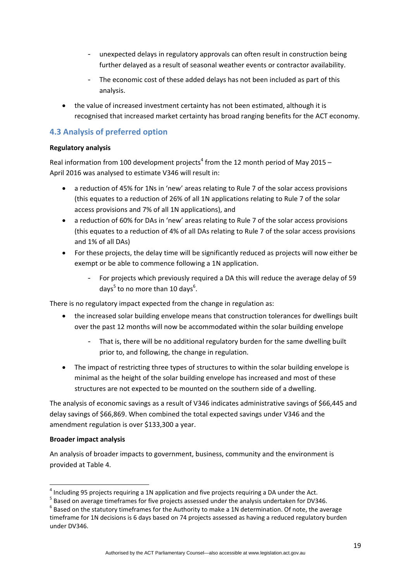- unexpected delays in regulatory approvals can often result in construction being further delayed as a result of seasonal weather events or contractor availability.
- The economic cost of these added delays has not been included as part of this analysis.
- the value of increased investment certainty has not been estimated, although it is recognised that increased market certainty has broad ranging benefits for the ACT economy.

# <span id="page-18-0"></span>**4.3 Analysis of preferred option**

## **Regulatory analysis**

Real information from 100 development projects<sup>4</sup> from the 12 month period of May 2015 – April 2016 was analysed to estimate V346 will result in:

- a reduction of 45% for 1Ns in 'new' areas relating to Rule 7 of the solar access provisions (this equates to a reduction of 26% of all 1N applications relating to Rule 7 of the solar access provisions and 7% of all 1N applications), and
- a reduction of 60% for DAs in 'new' areas relating to Rule 7 of the solar access provisions (this equates to a reduction of 4% of all DAs relating to Rule 7 of the solar access provisions and 1% of all DAs)
- For these projects, the delay time will be significantly reduced as projects will now either be exempt or be able to commence following a 1N application.
	- For projects which previously required a DA this will reduce the average delay of 59 days<sup>5</sup> to no more than 10 days<sup>6</sup>.

There is no regulatory impact expected from the change in regulation as:

- the increased solar building envelope means that construction tolerances for dwellings built over the past 12 months will now be accommodated within the solar building envelope
	- That is, there will be no additional regulatory burden for the same dwelling built prior to, and following, the change in regulation.
- The impact of restricting three types of structures to within the solar building envelope is minimal as the height of the solar building envelope has increased and most of these structures are not expected to be mounted on the southern side of a dwelling.

The analysis of economic savings as a result of V346 indicates administrative savings of \$66,445 and delay savings of \$66,869. When combined the total expected savings under V346 and the amendment regulation is over \$133,300 a year.

## **Broader impact analysis**

An analysis of broader impacts to government, business, community and the environment is provided at Table 4.

<sup>&</sup>lt;sup>4</sup> Including 95 projects requiring a 1N application and five projects requiring a DA under the Act.<br> $5$  Based on average timeframes for five projects assessed under the analysis undertaken for DV346.<br> $6$  Based on the sta

timeframe for 1N decisions is 6 days based on 74 projects assessed as having a reduced regulatory burden under DV346.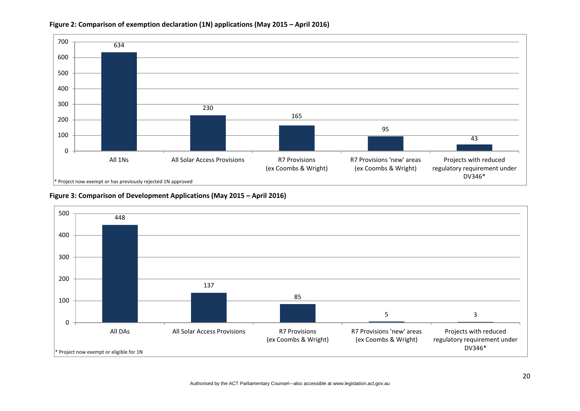

#### **Figure 2: Comparison of exemption declaration (1N) applications (May 2015 – April 2016)**



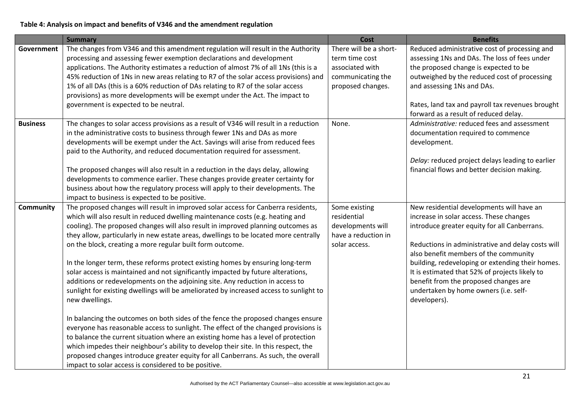### **Table 4: Analysis on impact and benefits of V346 and the amendment regulation**

|                  | <b>Summary</b>                                                                                                                                                    | Cost                   | <b>Benefits</b>                                                                         |
|------------------|-------------------------------------------------------------------------------------------------------------------------------------------------------------------|------------------------|-----------------------------------------------------------------------------------------|
| Government       | The changes from V346 and this amendment regulation will result in the Authority                                                                                  | There will be a short- | Reduced administrative cost of processing and                                           |
|                  | processing and assessing fewer exemption declarations and development                                                                                             | term time cost         | assessing 1Ns and DAs. The loss of fees under                                           |
|                  | applications. The Authority estimates a reduction of almost 7% of all 1Ns (this is a                                                                              | associated with        | the proposed change is expected to be                                                   |
|                  | 45% reduction of 1Ns in new areas relating to R7 of the solar access provisions) and                                                                              | communicating the      | outweighed by the reduced cost of processing                                            |
|                  | 1% of all DAs (this is a 60% reduction of DAs relating to R7 of the solar access                                                                                  | proposed changes.      | and assessing 1Ns and DAs.                                                              |
|                  | provisions) as more developments will be exempt under the Act. The impact to                                                                                      |                        |                                                                                         |
|                  | government is expected to be neutral.                                                                                                                             |                        | Rates, land tax and payroll tax revenues brought                                        |
|                  |                                                                                                                                                                   |                        | forward as a result of reduced delay.                                                   |
| <b>Business</b>  | The changes to solar access provisions as a result of V346 will result in a reduction                                                                             | None.                  | Administrative: reduced fees and assessment                                             |
|                  | in the administrative costs to business through fewer 1Ns and DAs as more                                                                                         |                        | documentation required to commence                                                      |
|                  | developments will be exempt under the Act. Savings will arise from reduced fees                                                                                   |                        | development.                                                                            |
|                  | paid to the Authority, and reduced documentation required for assessment.                                                                                         |                        |                                                                                         |
|                  |                                                                                                                                                                   |                        | Delay: reduced project delays leading to earlier                                        |
|                  | The proposed changes will also result in a reduction in the days delay, allowing                                                                                  |                        | financial flows and better decision making.                                             |
|                  | developments to commence earlier. These changes provide greater certainty for                                                                                     |                        |                                                                                         |
|                  | business about how the regulatory process will apply to their developments. The                                                                                   |                        |                                                                                         |
|                  | impact to business is expected to be positive.                                                                                                                    |                        |                                                                                         |
| <b>Community</b> | The proposed changes will result in improved solar access for Canberra residents,                                                                                 | Some existing          | New residential developments will have an                                               |
|                  | which will also result in reduced dwelling maintenance costs (e.g. heating and                                                                                    | residential            | increase in solar access. These changes                                                 |
|                  | cooling). The proposed changes will also result in improved planning outcomes as                                                                                  | developments will      | introduce greater equity for all Canberrans.                                            |
|                  | they allow, particularly in new estate areas, dwellings to be located more centrally                                                                              | have a reduction in    |                                                                                         |
|                  | on the block, creating a more regular built form outcome.                                                                                                         | solar access.          | Reductions in administrative and delay costs will                                       |
|                  |                                                                                                                                                                   |                        | also benefit members of the community                                                   |
|                  | In the longer term, these reforms protect existing homes by ensuring long-term                                                                                    |                        | building, redeveloping or extending their homes.                                        |
|                  | solar access is maintained and not significantly impacted by future alterations,<br>additions or redevelopments on the adjoining site. Any reduction in access to |                        | It is estimated that 52% of projects likely to<br>benefit from the proposed changes are |
|                  | sunlight for existing dwellings will be ameliorated by increased access to sunlight to                                                                            |                        | undertaken by home owners (i.e. self-                                                   |
|                  | new dwellings.                                                                                                                                                    |                        | developers).                                                                            |
|                  |                                                                                                                                                                   |                        |                                                                                         |
|                  | In balancing the outcomes on both sides of the fence the proposed changes ensure                                                                                  |                        |                                                                                         |
|                  | everyone has reasonable access to sunlight. The effect of the changed provisions is                                                                               |                        |                                                                                         |
|                  | to balance the current situation where an existing home has a level of protection                                                                                 |                        |                                                                                         |
|                  | which impedes their neighbour's ability to develop their site. In this respect, the                                                                               |                        |                                                                                         |
|                  | proposed changes introduce greater equity for all Canberrans. As such, the overall                                                                                |                        |                                                                                         |
|                  | impact to solar access is considered to be positive.                                                                                                              |                        |                                                                                         |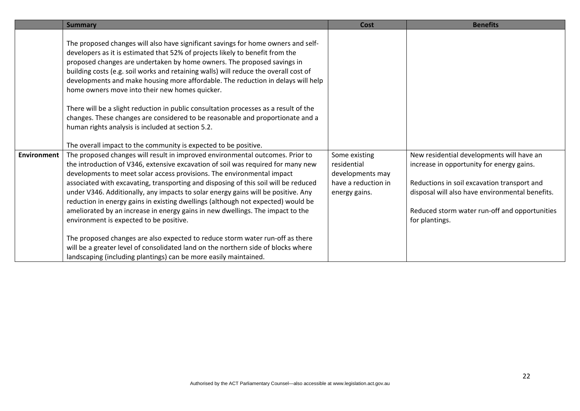|                    | <b>Summary</b>                                                                                                                                                                                                                                                                                                                                                                                                            | <b>Cost</b>                                      | <b>Benefits</b>                                                                                |
|--------------------|---------------------------------------------------------------------------------------------------------------------------------------------------------------------------------------------------------------------------------------------------------------------------------------------------------------------------------------------------------------------------------------------------------------------------|--------------------------------------------------|------------------------------------------------------------------------------------------------|
|                    | The proposed changes will also have significant savings for home owners and self-<br>developers as it is estimated that 52% of projects likely to benefit from the<br>proposed changes are undertaken by home owners. The proposed savings in<br>building costs (e.g. soil works and retaining walls) will reduce the overall cost of<br>developments and make housing more affordable. The reduction in delays will help |                                                  |                                                                                                |
|                    | home owners move into their new homes quicker.<br>There will be a slight reduction in public consultation processes as a result of the<br>changes. These changes are considered to be reasonable and proportionate and a                                                                                                                                                                                                  |                                                  |                                                                                                |
|                    | human rights analysis is included at section 5.2.<br>The overall impact to the community is expected to be positive.                                                                                                                                                                                                                                                                                                      |                                                  |                                                                                                |
| <b>Environment</b> | The proposed changes will result in improved environmental outcomes. Prior to<br>the introduction of V346, extensive excavation of soil was required for many new<br>developments to meet solar access provisions. The environmental impact                                                                                                                                                                               | Some existing<br>residential<br>developments may | New residential developments will have an<br>increase in opportunity for energy gains.         |
|                    | associated with excavating, transporting and disposing of this soil will be reduced<br>under V346. Additionally, any impacts to solar energy gains will be positive. Any<br>reduction in energy gains in existing dwellings (although not expected) would be                                                                                                                                                              | have a reduction in<br>energy gains.             | Reductions in soil excavation transport and<br>disposal will also have environmental benefits. |
|                    | ameliorated by an increase in energy gains in new dwellings. The impact to the<br>environment is expected to be positive.                                                                                                                                                                                                                                                                                                 |                                                  | Reduced storm water run-off and opportunities<br>for plantings.                                |
|                    | The proposed changes are also expected to reduce storm water run-off as there<br>will be a greater level of consolidated land on the northern side of blocks where<br>landscaping (including plantings) can be more easily maintained.                                                                                                                                                                                    |                                                  |                                                                                                |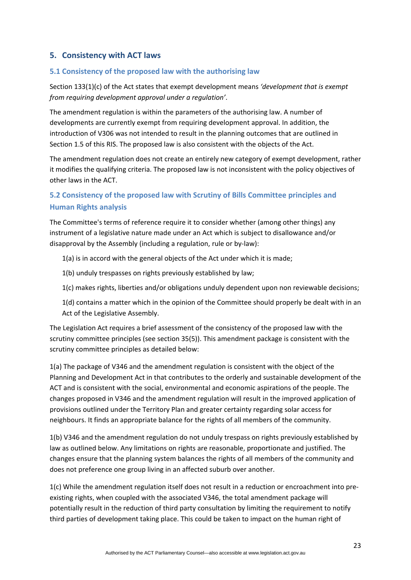# <span id="page-22-0"></span>**5. Consistency with ACT laws**

### <span id="page-22-1"></span>**5.1 Consistency of the proposed law with the authorising law**

Section 133(1)(c) of the Act states that exempt development means *'development that is exempt from requiring development approval under a regulation'*.

The amendment regulation is within the parameters of the authorising law. A number of developments are currently exempt from requiring development approval. In addition, the introduction of V306 was not intended to result in the planning outcomes that are outlined in Section 1.5 of this RIS. The proposed law is also consistent with the objects of the Act.

The amendment regulation does not create an entirely new category of exempt development, rather it modifies the qualifying criteria. The proposed law is not inconsistent with the policy objectives of other laws in the ACT.

# <span id="page-22-2"></span>**5.2 Consistency of the proposed law with Scrutiny of Bills Committee principles and Human Rights analysis**

The Committee's terms of reference require it to consider whether (among other things) any instrument of a legislative nature made under an Act which is subject to disallowance and/or disapproval by the Assembly (including a regulation, rule or by‐law):

- 1(a) is in accord with the general objects of the Act under which it is made;
- 1(b) unduly trespasses on rights previously established by law;
- 1(c) makes rights, liberties and/or obligations unduly dependent upon non reviewable decisions;
- 1(d) contains a matter which in the opinion of the Committee should properly be dealt with in an Act of the Legislative Assembly.

The Legislation Act requires a brief assessment of the consistency of the proposed law with the scrutiny committee principles (see section 35(5)). This amendment package is consistent with the scrutiny committee principles as detailed below:

1(a) The package of V346 and the amendment regulation is consistent with the object of the Planning and Development Act in that contributes to the orderly and sustainable development of the ACT and is consistent with the social, environmental and economic aspirations of the people. The changes proposed in V346 and the amendment regulation will result in the improved application of provisions outlined under the Territory Plan and greater certainty regarding solar access for neighbours. It finds an appropriate balance for the rights of all members of the community.

1(b) V346 and the amendment regulation do not unduly trespass on rights previously established by law as outlined below. Any limitations on rights are reasonable, proportionate and justified. The changes ensure that the planning system balances the rights of all members of the community and does not preference one group living in an affected suburb over another.

1(c) While the amendment regulation itself does not result in a reduction or encroachment into pre‐ existing rights, when coupled with the associated V346, the total amendment package will potentially result in the reduction of third party consultation by limiting the requirement to notify third parties of development taking place. This could be taken to impact on the human right of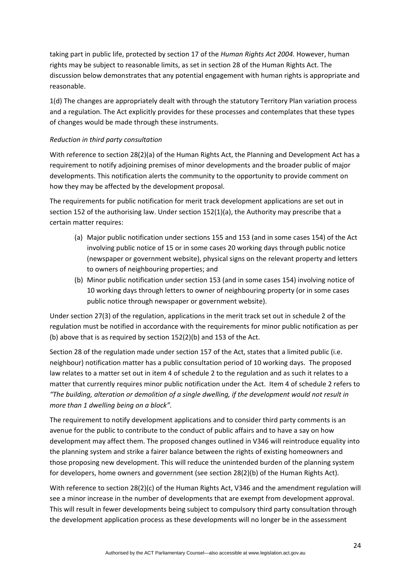taking part in public life, protected by section 17 of the *Human Rights Act 2004.* However, human rights may be subject to reasonable limits, as set in section 28 of the Human Rights Act. The discussion below demonstrates that any potential engagement with human rights is appropriate and reasonable.

1(d) The changes are appropriately dealt with through the statutory Territory Plan variation process and a regulation. The Act explicitly provides for these processes and contemplates that these types of changes would be made through these instruments.

### *Reduction in third party consultation*

With reference to section 28(2)(a) of the Human Rights Act, the Planning and Development Act has a requirement to notify adjoining premises of minor developments and the broader public of major developments. This notification alerts the community to the opportunity to provide comment on how they may be affected by the development proposal.

The requirements for public notification for merit track development applications are set out in section 152 of the authorising law. Under section 152(1)(a), the Authority may prescribe that a certain matter requires:

- (a) Major public notification under sections 155 and 153 (and in some cases 154) of the Act involving public notice of 15 or in some cases 20 working days through public notice (newspaper or government website), physical signs on the relevant property and letters to owners of neighbouring properties; and
- (b) Minor public notification under section 153 (and in some cases 154) involving notice of 10 working days through letters to owner of neighbouring property (or in some cases public notice through newspaper or government website).

Under section 27(3) of the regulation, applications in the merit track set out in schedule 2 of the regulation must be notified in accordance with the requirements for minor public notification as per (b) above that is as required by section 152(2)(b) and 153 of the Act.

Section 28 of the regulation made under section 157 of the Act, states that a limited public (i.e. neighbour) notification matter has a public consultation period of 10 working days. The proposed law relates to a matter set out in item 4 of schedule 2 to the regulation and as such it relates to a matter that currently requires minor public notification under the Act. Item 4 of schedule 2 refers to *"The building, alteration or demolition of a single dwelling, if the development would not result in more than 1 dwelling being on a block".*

The requirement to notify development applications and to consider third party comments is an avenue for the public to contribute to the conduct of public affairs and to have a say on how development may affect them. The proposed changes outlined in V346 will reintroduce equality into the planning system and strike a fairer balance between the rights of existing homeowners and those proposing new development. This will reduce the unintended burden of the planning system for developers, home owners and government (see section 28(2)(b) of the Human Rights Act).

With reference to section 28(2)(c) of the Human Rights Act, V346 and the amendment regulation will see a minor increase in the number of developments that are exempt from development approval. This will result in fewer developments being subject to compulsory third party consultation through the development application process as these developments will no longer be in the assessment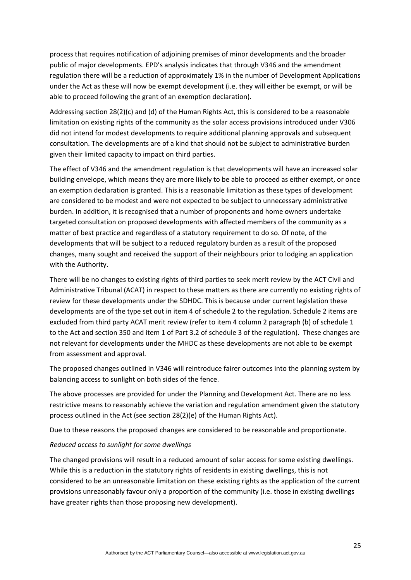process that requires notification of adjoining premises of minor developments and the broader public of major developments. EPD's analysis indicates that through V346 and the amendment regulation there will be a reduction of approximately 1% in the number of Development Applications under the Act as these will now be exempt development (i.e. they will either be exempt, or will be able to proceed following the grant of an exemption declaration).

Addressing section 28(2)(c) and (d) of the Human Rights Act, this is considered to be a reasonable limitation on existing rights of the community as the solar access provisions introduced under V306 did not intend for modest developments to require additional planning approvals and subsequent consultation. The developments are of a kind that should not be subject to administrative burden given their limited capacity to impact on third parties.

The effect of V346 and the amendment regulation is that developments will have an increased solar building envelope, which means they are more likely to be able to proceed as either exempt, or once an exemption declaration is granted. This is a reasonable limitation as these types of development are considered to be modest and were not expected to be subject to unnecessary administrative burden. In addition, it is recognised that a number of proponents and home owners undertake targeted consultation on proposed developments with affected members of the community as a matter of best practice and regardless of a statutory requirement to do so. Of note, of the developments that will be subject to a reduced regulatory burden as a result of the proposed changes, many sought and received the support of their neighbours prior to lodging an application with the Authority.

There will be no changes to existing rights of third parties to seek merit review by the ACT Civil and Administrative Tribunal (ACAT) in respect to these matters as there are currently no existing rights of review for these developments under the SDHDC. This is because under current legislation these developments are of the type set out in item 4 of schedule 2 to the regulation. Schedule 2 items are excluded from third party ACAT merit review (refer to item 4 column 2 paragraph (b) of schedule 1 to the Act and section 350 and item 1 of Part 3.2 of schedule 3 of the regulation). These changes are not relevant for developments under the MHDC as these developments are not able to be exempt from assessment and approval.

The proposed changes outlined in V346 will reintroduce fairer outcomes into the planning system by balancing access to sunlight on both sides of the fence.

The above processes are provided for under the Planning and Development Act. There are no less restrictive means to reasonably achieve the variation and regulation amendment given the statutory process outlined in the Act (see section 28(2)(e) of the Human Rights Act).

Due to these reasons the proposed changes are considered to be reasonable and proportionate.

### *Reduced access to sunlight for some dwellings*

The changed provisions will result in a reduced amount of solar access for some existing dwellings. While this is a reduction in the statutory rights of residents in existing dwellings, this is not considered to be an unreasonable limitation on these existing rights as the application of the current provisions unreasonably favour only a proportion of the community (i.e. those in existing dwellings have greater rights than those proposing new development).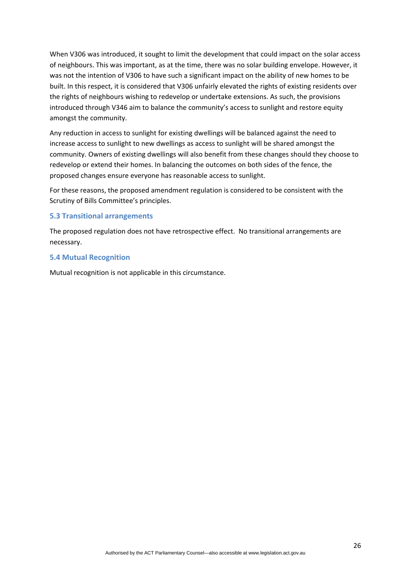When V306 was introduced, it sought to limit the development that could impact on the solar access of neighbours. This was important, as at the time, there was no solar building envelope. However, it was not the intention of V306 to have such a significant impact on the ability of new homes to be built. In this respect, it is considered that V306 unfairly elevated the rights of existing residents over the rights of neighbours wishing to redevelop or undertake extensions. As such, the provisions introduced through V346 aim to balance the community's access to sunlight and restore equity amongst the community.

Any reduction in access to sunlight for existing dwellings will be balanced against the need to increase access to sunlight to new dwellings as access to sunlight will be shared amongst the community. Owners of existing dwellings will also benefit from these changes should they choose to redevelop or extend their homes. In balancing the outcomes on both sides of the fence, the proposed changes ensure everyone has reasonable access to sunlight.

For these reasons, the proposed amendment regulation is considered to be consistent with the Scrutiny of Bills Committee's principles.

### <span id="page-25-0"></span>**5.3 Transitional arrangements**

The proposed regulation does not have retrospective effect. No transitional arrangements are necessary.

### <span id="page-25-1"></span>**5.4 Mutual Recognition**

Mutual recognition is not applicable in this circumstance.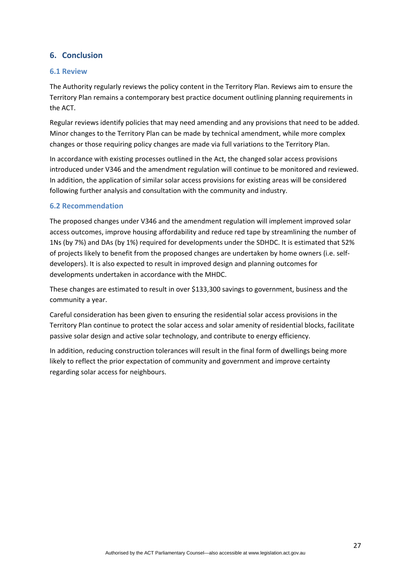# <span id="page-26-0"></span>**6. Conclusion**

### <span id="page-26-1"></span>**6.1 Review**

The Authority regularly reviews the policy content in the Territory Plan. Reviews aim to ensure the Territory Plan remains a contemporary best practice document outlining planning requirements in the ACT.

Regular reviews identify policies that may need amending and any provisions that need to be added. Minor changes to the Territory Plan can be made by technical amendment, while more complex changes or those requiring policy changes are made via full variations to the Territory Plan.

In accordance with existing processes outlined in the Act, the changed solar access provisions introduced under V346 and the amendment regulation will continue to be monitored and reviewed. In addition, the application of similar solar access provisions for existing areas will be considered following further analysis and consultation with the community and industry.

### <span id="page-26-2"></span>**6.2 Recommendation**

The proposed changes under V346 and the amendment regulation will implement improved solar access outcomes, improve housing affordability and reduce red tape by streamlining the number of 1Ns (by 7%) and DAs (by 1%) required for developments under the SDHDC. It is estimated that 52% of projects likely to benefit from the proposed changes are undertaken by home owners (i.e. self‐ developers). It is also expected to result in improved design and planning outcomes for developments undertaken in accordance with the MHDC.

These changes are estimated to result in over \$133,300 savings to government, business and the community a year.

Careful consideration has been given to ensuring the residential solar access provisions in the Territory Plan continue to protect the solar access and solar amenity of residential blocks, facilitate passive solar design and active solar technology, and contribute to energy efficiency.

In addition, reducing construction tolerances will result in the final form of dwellings being more likely to reflect the prior expectation of community and government and improve certainty regarding solar access for neighbours.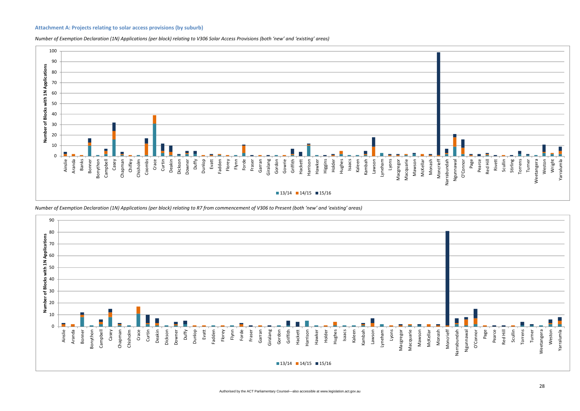#### **Attachment A: Projects relating to solar access provisions (by suburb)**



Number of Exemption Declaration (1N) Applications (per block) relating to V306 Solar Access Provisions (both 'new' and 'existing' areas)

<span id="page-27-0"></span>

Number of Exemption Declaration (1N) Applications (per block) relating to R7 from commencement of V306 to Present (both 'new' and 'existing' areas)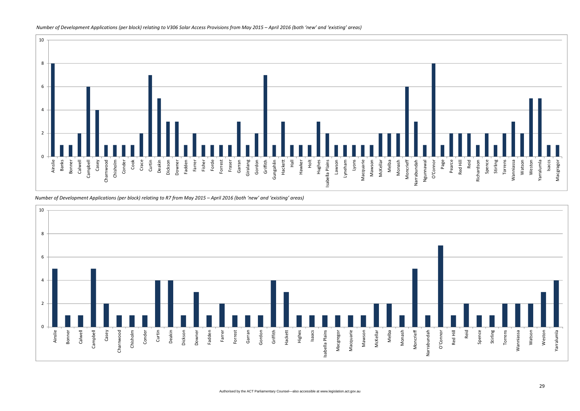

Number of Development Applications (per block) relating to R7 from May 2015 – April 2016 (both 'new' and 'existing' areas)



#### Number of Development Applications (per block) relating to V306 Solar Access Provisions from May 2015 – April 2016 (both 'new' and 'existing' areas)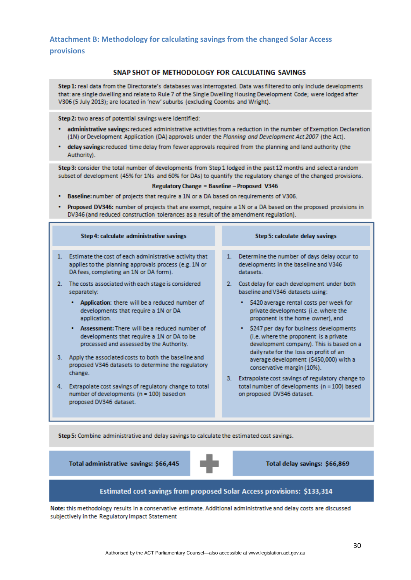<span id="page-29-0"></span>**Attachment B: Methodology for calculating savings from the changed Solar Access provisions**

#### SNAP SHOT OF METHODOLOGY FOR CALCULATING SAVINGS

Step 1: real data from the Directorate's databases was interrogated. Data was filtered to only include developments that: are single dwelling and relate to Rule 7 of the Single Dwelling Housing Development Code; were lodged after V306 (5 July 2013); are located in 'new' suburbs (excluding Coombs and Wright).

Step 2: two areas of potential savings were identified:

- administrative savings: reduced administrative activities from a reduction in the number of Exemption Declaration (1N) or Development Application (DA) approvals under the Planning and Development Act 2007 (the Act).
- delay savings: reduced time delay from fewer approvals required from the planning and land authority (the Authority).

Step 3: consider the total number of developments from Step 1 lodged in the past 12 months and select a random subset of development (45% for 1Ns and 60% for DAs) to quantify the regulatory change of the changed provisions.

#### Regulatory Change = Baseline - Proposed V346

- . Baseline: number of projects that require a 1N or a DA based on requirements of V306.
- Proposed DV346: number of projects that are exempt, require a 1N or a DA based on the proposed provisions in DV346 (and reduced construction tolerances as a result of the amendment regulation).

| Step 4: calculate administrative savings                                                                                                                     | Step 5: calculate delay savings                                                                                        |
|--------------------------------------------------------------------------------------------------------------------------------------------------------------|------------------------------------------------------------------------------------------------------------------------|
| 1. Estimate the cost of each administrative activity that<br>applies to the planning approvals process (e.g. 1N or<br>DA fees, completing an 1N or DA form). | 1. Determine the number of days delay occur to<br>developments in the baseline and V346<br>datasets.                   |
| The costs associated with each stage is considered<br>separately:                                                                                            | Cost delay for each development under both<br>2.<br>baseline and V346 datasets using:                                  |
| Application: there will be a reduced number of<br>developments that require a 1N or DA<br>application.                                                       | • \$420 average rental costs per week for<br>private developments (i.e. where the<br>proponent is the home owner), and |

- Assessment: There will be a reduced number of developments that require a 1N or DA to be processed and assessed by the Authority.
- 3. Apply the associated costs to both the baseline and proposed V346 datasets to determine the regulatory change.
- 4. Extrapolate cost savings of regulatory change to total number of developments (n = 100) based on proposed DV346 dataset.
- 
- - \$247 per day for business developments (i.e. where the proponent is a private development company). This is based on a daily rate for the loss on profit of an average development (\$450,000) with a conservative margin (10%).
- 3. Extrapolate cost savings of regulatory change to total number of developments (n = 100) based on proposed DV346 dataset.

Step 5: Combine administrative and delay savings to calculate the estimated cost savings.

Total administrative savings: \$66,445



Total delay savings: \$66,869

### Estimated cost savings from proposed Solar Access provisions: \$133,314

Note: this methodology results in a conservative estimate. Additional administrative and delay costs are discussed subjectively in the Regulatory Impact Statement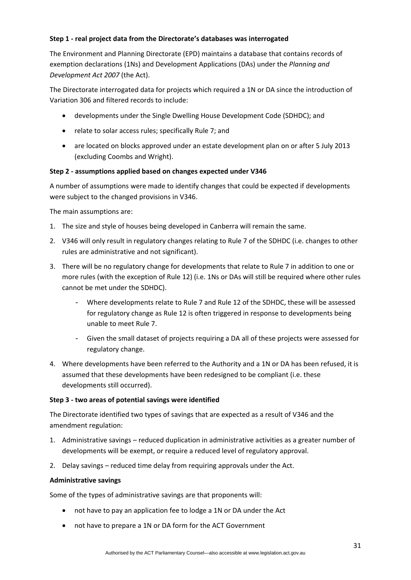### **Step 1 ‐ real project data from the Directorate's databases was interrogated**

The Environment and Planning Directorate (EPD) maintains a database that contains records of exemption declarations (1Ns) and Development Applications (DAs) under the *Planning and Development Act 2007* (the Act).

The Directorate interrogated data for projects which required a 1N or DA since the introduction of Variation 306 and filtered records to include:

- developments under the Single Dwelling House Development Code (SDHDC); and
- relate to solar access rules; specifically Rule 7; and
- are located on blocks approved under an estate development plan on or after 5 July 2013 (excluding Coombs and Wright).

### **Step 2 ‐ assumptions applied based on changes expected under V346**

A number of assumptions were made to identify changes that could be expected if developments were subject to the changed provisions in V346.

The main assumptions are:

- 1. The size and style of houses being developed in Canberra will remain the same.
- 2. V346 will only result in regulatory changes relating to Rule 7 of the SDHDC (i.e. changes to other rules are administrative and not significant).
- 3. There will be no regulatory change for developments that relate to Rule 7 in addition to one or more rules (with the exception of Rule 12) (i.e. 1Ns or DAs will still be required where other rules cannot be met under the SDHDC).
	- Where developments relate to Rule 7 and Rule 12 of the SDHDC, these will be assessed for regulatory change as Rule 12 is often triggered in response to developments being unable to meet Rule 7.
	- Given the small dataset of projects requiring a DA all of these projects were assessed for regulatory change.
- 4. Where developments have been referred to the Authority and a 1N or DA has been refused, it is assumed that these developments have been redesigned to be compliant (i.e. these developments still occurred).

### **Step 3 ‐ two areas of potential savings were identified**

The Directorate identified two types of savings that are expected as a result of V346 and the amendment regulation:

- 1. Administrative savings reduced duplication in administrative activities as a greater number of developments will be exempt, or require a reduced level of regulatory approval.
- 2. Delay savings reduced time delay from requiring approvals under the Act.

### **Administrative savings**

Some of the types of administrative savings are that proponents will:

- not have to pay an application fee to lodge a 1N or DA under the Act
- not have to prepare a 1N or DA form for the ACT Government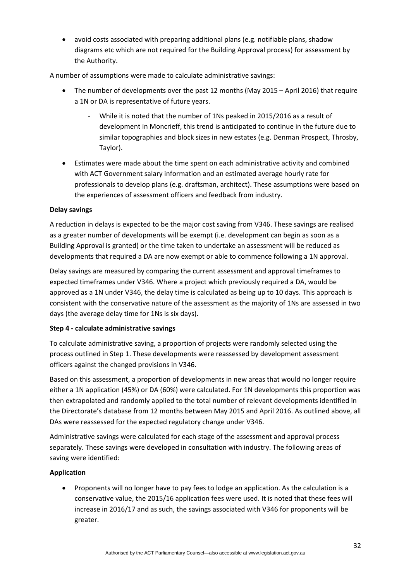avoid costs associated with preparing additional plans (e.g. notifiable plans, shadow diagrams etc which are not required for the Building Approval process) for assessment by the Authority.

A number of assumptions were made to calculate administrative savings:

- The number of developments over the past 12 months (May 2015 April 2016) that require a 1N or DA is representative of future years.
	- While it is noted that the number of 1Ns peaked in 2015/2016 as a result of development in Moncrieff, this trend is anticipated to continue in the future due to similar topographies and block sizes in new estates (e.g. Denman Prospect, Throsby, Taylor).
- Estimates were made about the time spent on each administrative activity and combined with ACT Government salary information and an estimated average hourly rate for professionals to develop plans (e.g. draftsman, architect). These assumptions were based on the experiences of assessment officers and feedback from industry.

## **Delay savings**

A reduction in delays is expected to be the major cost saving from V346. These savings are realised as a greater number of developments will be exempt (i.e. development can begin as soon as a Building Approval is granted) or the time taken to undertake an assessment will be reduced as developments that required a DA are now exempt or able to commence following a 1N approval.

Delay savings are measured by comparing the current assessment and approval timeframes to expected timeframes under V346. Where a project which previously required a DA, would be approved as a 1N under V346, the delay time is calculated as being up to 10 days. This approach is consistent with the conservative nature of the assessment as the majority of 1Ns are assessed in two days (the average delay time for 1Ns is six days).

## **Step 4 ‐ calculate administrative savings**

To calculate administrative saving, a proportion of projects were randomly selected using the process outlined in Step 1. These developments were reassessed by development assessment officers against the changed provisions in V346.

Based on this assessment, a proportion of developments in new areas that would no longer require either a 1N application (45%) or DA (60%) were calculated. For 1N developments this proportion was then extrapolated and randomly applied to the total number of relevant developments identified in the Directorate's database from 12 months between May 2015 and April 2016. As outlined above, all DAs were reassessed for the expected regulatory change under V346.

Administrative savings were calculated for each stage of the assessment and approval process separately. These savings were developed in consultation with industry. The following areas of saving were identified:

## **Application**

 Proponents will no longer have to pay fees to lodge an application. As the calculation is a conservative value, the 2015/16 application fees were used. It is noted that these fees will increase in 2016/17 and as such, the savings associated with V346 for proponents will be greater.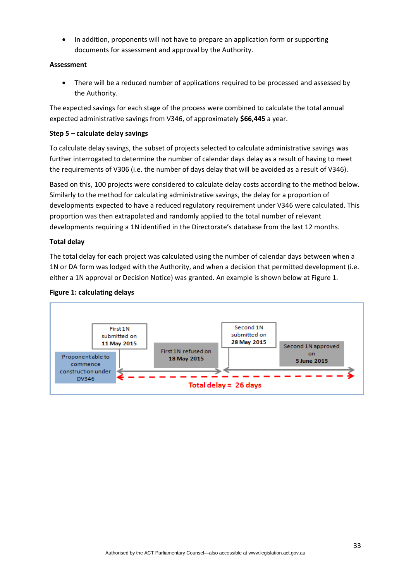In addition, proponents will not have to prepare an application form or supporting documents for assessment and approval by the Authority.

## **Assessment**

• There will be a reduced number of applications required to be processed and assessed by the Authority.

The expected savings for each stage of the process were combined to calculate the total annual expected administrative savings from V346, of approximately **\$66,445** a year.

### **Step 5 – calculate delay savings**

To calculate delay savings, the subset of projects selected to calculate administrative savings was further interrogated to determine the number of calendar days delay as a result of having to meet the requirements of V306 (i.e. the number of days delay that will be avoided as a result of V346).

Based on this, 100 projects were considered to calculate delay costs according to the method below. Similarly to the method for calculating administrative savings, the delay for a proportion of developments expected to have a reduced regulatory requirement under V346 were calculated. This proportion was then extrapolated and randomly applied to the total number of relevant developments requiring a 1N identified in the Directorate's database from the last 12 months.

### **Total delay**

The total delay for each project was calculated using the number of calendar days between when a 1N or DA form was lodged with the Authority, and when a decision that permitted development (i.e. either a 1N approval or Decision Notice) was granted. An example is shown below at Figure 1.

### **Figure 1: calculating delays**